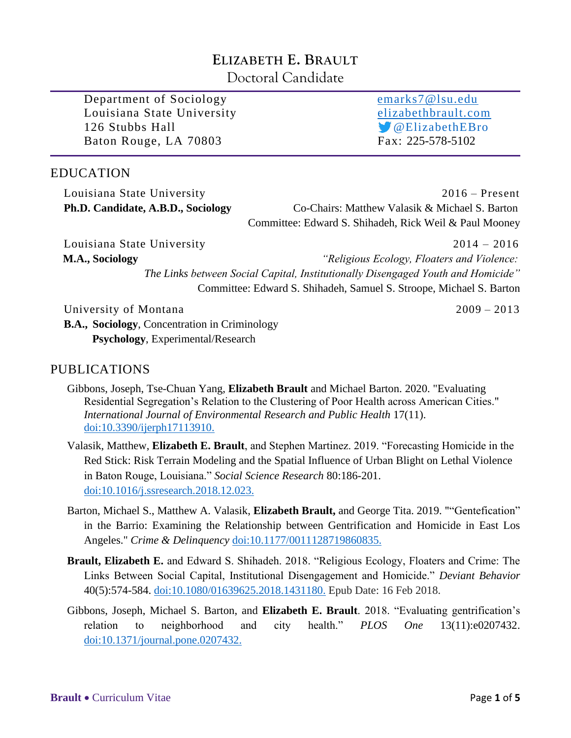# **ELIZABETH E. BRAULT**

Doctoral Candidate

Department of Sociology [emarks7@lsu.edu](mailto:emarks7@lsu.edu) Louisiana State University [elizabethbrault.com](file:///C:/Users/ElizabethBrault/Google%20Drive/Admin/CVs/elizabethbrault.com) 126 Stubbs Hall **Contract Contract Contract Contract Contract Contract Contract Contract Contract Contract Contract Contract Contract Contract Contract Contract Contract Contract Contract Contract Contract Contract Contrac** Baton Rouge, LA 70803 Fax: 225-578-5102

# EDUCATION

| Louisiana State University         | $2016 -$ Present                                       |
|------------------------------------|--------------------------------------------------------|
| Ph.D. Candidate, A.B.D., Sociology | Co-Chairs: Matthew Valasik & Michael S. Barton         |
|                                    | Committee: Edward S. Shihadeh, Rick Weil & Paul Mooney |

Louisiana State University2014 – 2016 **M.A., Sociology** *"Religious Ecology, Floaters and Violence:* *The Links between Social Capital, Institutionally Disengaged Youth and Homicide"* Committee: Edward S. Shihadeh, Samuel S. Stroope, Michael S. Barton

University of Montana 2009 – 2013

**B.A., Sociology**, Concentration in Criminology **Psychology**, Experimental/Research

# PUBLICATIONS

- Gibbons, Joseph, Tse-Chuan Yang, **Elizabeth Brault** and Michael Barton. 2020. "Evaluating Residential Segregation's Relation to the Clustering of Poor Health across American Cities." *International Journal of Environmental Research and Public Health* 17(11). [doi:10.3390/ijerph17113910.](http://www.doi.org/10.3390/ijerph17113910)
- Valasik, Matthew, **Elizabeth E. Brault**, and Stephen Martinez. 2019. "Forecasting Homicide in the Red Stick: Risk Terrain Modeling and the Spatial Influence of Urban Blight on Lethal Violence in Baton Rouge, Louisiana." *Social Science Research* 80:186-201. [doi:10.1016/j.ssresearch.2018.12.023.](http://www.doi.org/10.1016/j.ssresearch.2018.12.023)
- Barton, Michael S., Matthew A. Valasik, **Elizabeth Brault,** and George Tita. 2019. ""Gentefication" in the Barrio: Examining the Relationship between Gentrification and Homicide in East Los Angeles." *Crime & Delinquency* [doi:10.1177/0011128719860835.](http://www.doi.org/10.1177/0011128719860835)
- **Brault, Elizabeth E.** and Edward S. Shihadeh. 2018. "Religious Ecology, Floaters and Crime: The Links Between Social Capital, Institutional Disengagement and Homicide." *Deviant Behavior*  40(5):574-584. [doi:10.1080/01639625.2018.1431180.](http://www.doi.org/10.1080/01639625.2018.1431180) Epub Date: 16 Feb 2018.
- Gibbons, Joseph, Michael S. Barton, and **Elizabeth E. Brault**. 2018. "Evaluating gentrification's relation to neighborhood and city health." *PLOS One* 13(11):e0207432. [doi:10.1371/journal.pone.0207432.](http://www.doi.org/10.1371/journal.pone.0207432)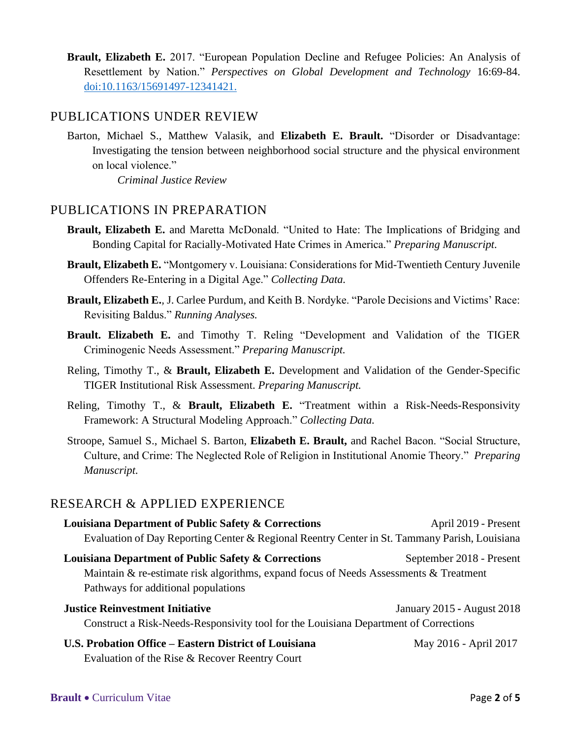**Brault, Elizabeth E.** 2017. "European Population Decline and Refugee Policies: An Analysis of Resettlement by Nation." *Perspectives on Global Development and Technology* 16:69-84. [doi:10.1163/15691497-12341421.](http://www.doi.org/10.1163/15691497-12341421)

# PUBLICATIONS UNDER REVIEW

Barton, Michael S., Matthew Valasik, and **Elizabeth E. Brault.** "Disorder or Disadvantage: Investigating the tension between neighborhood social structure and the physical environment on local violence."

*Criminal Justice Review*

### PUBLICATIONS IN PREPARATION

- **Brault, Elizabeth E.** and Maretta McDonald. "United to Hate: The Implications of Bridging and Bonding Capital for Racially-Motivated Hate Crimes in America." *Preparing Manuscript.*
- **Brault, Elizabeth E.** "Montgomery v. Louisiana: Considerations for Mid-Twentieth Century Juvenile Offenders Re-Entering in a Digital Age." *Collecting Data.*
- **Brault, Elizabeth E.***,* J. Carlee Purdum, and Keith B. Nordyke. "Parole Decisions and Victims' Race: Revisiting Baldus." *Running Analyses.*
- **Brault. Elizabeth E.** and Timothy T. Reling "Development and Validation of the TIGER Criminogenic Needs Assessment." *Preparing Manuscript.*
- Reling, Timothy T., & **Brault, Elizabeth E.** Development and Validation of the Gender-Specific TIGER Institutional Risk Assessment. *Preparing Manuscript.*
- Reling, Timothy T., & **Brault, Elizabeth E.** "Treatment within a Risk-Needs-Responsivity Framework: A Structural Modeling Approach." *Collecting Data.*
- Stroope, Samuel S., Michael S. Barton, **Elizabeth E. Brault,** and Rachel Bacon. "Social Structure, Culture, and Crime: The Neglected Role of Religion in Institutional Anomie Theory." *Preparing Manuscript.*

## RESEARCH & APPLIED EXPERIENCE

| Louisiana Department of Public Safety & Corrections                                                                          | April 2019 - Present       |
|------------------------------------------------------------------------------------------------------------------------------|----------------------------|
| Evaluation of Day Reporting Center & Regional Reentry Center in St. Tammany Parish, Louisiana                                |                            |
| <b>Louisiana Department of Public Safety &amp; Corrections</b>                                                               | September 2018 - Present   |
| Maintain & re-estimate risk algorithms, expand focus of Needs Assessments & Treatment<br>Pathways for additional populations |                            |
| <b>Justice Reinvestment Initiative</b>                                                                                       | January 2015 - August 2018 |
| Construct a Risk-Needs-Responsivity tool for the Louisiana Department of Corrections                                         |                            |
| U.S. Probation Office – Eastern District of Louisiana                                                                        | May 2016 - April 2017      |
| Evaluation of the Rise & Recover Reentry Court                                                                               |                            |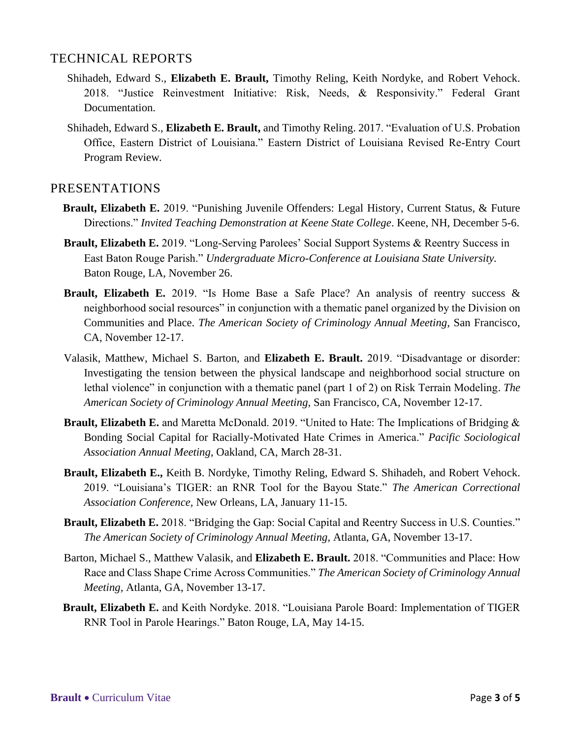### TECHNICAL REPORTS

- Shihadeh, Edward S., **Elizabeth E. Brault,** Timothy Reling, Keith Nordyke, and Robert Vehock. 2018. "Justice Reinvestment Initiative: Risk, Needs, & Responsivity." Federal Grant Documentation.
- Shihadeh, Edward S., **Elizabeth E. Brault,** and Timothy Reling. 2017. "Evaluation of U.S. Probation Office, Eastern District of Louisiana." Eastern District of Louisiana Revised Re-Entry Court Program Review*.*

### PRESENTATIONS

- **Brault, Elizabeth E.** 2019. "Punishing Juvenile Offenders: Legal History, Current Status, & Future Directions." *Invited Teaching Demonstration at Keene State College*. Keene, NH, December 5-6.
- **Brault, Elizabeth E.** 2019. "Long-Serving Parolees' Social Support Systems & Reentry Success in East Baton Rouge Parish." *Undergraduate Micro-Conference at Louisiana State University.*  Baton Rouge, LA, November 26.
- **Brault, Elizabeth E.** 2019. "Is Home Base a Safe Place? An analysis of reentry success & neighborhood social resources" in conjunction with a thematic panel organized by the Division on Communities and Place. *The American Society of Criminology Annual Meeting,* San Francisco, CA, November 12-17.
- Valasik, Matthew, Michael S. Barton, and **Elizabeth E. Brault.** 2019. "Disadvantage or disorder: Investigating the tension between the physical landscape and neighborhood social structure on lethal violence" in conjunction with a thematic panel (part 1 of 2) on Risk Terrain Modeling. *The American Society of Criminology Annual Meeting,* San Francisco, CA, November 12-17.
- **Brault, Elizabeth E.** and Maretta McDonald. 2019. "United to Hate: The Implications of Bridging & Bonding Social Capital for Racially-Motivated Hate Crimes in America." *Pacific Sociological Association Annual Meeting*, Oakland, CA, March 28-31.
- **Brault, Elizabeth E.,** Keith B. Nordyke, Timothy Reling, Edward S. Shihadeh, and Robert Vehock. 2019. "Louisiana's TIGER: an RNR Tool for the Bayou State." *The American Correctional Association Conference,* New Orleans, LA, January 11-15.
- **Brault, Elizabeth E.** 2018. "Bridging the Gap: Social Capital and Reentry Success in U.S. Counties." *The American Society of Criminology Annual Meeting,* Atlanta, GA, November 13-17.
- Barton, Michael S., Matthew Valasik, and **Elizabeth E. Brault.** 2018. "Communities and Place: How Race and Class Shape Crime Across Communities." *The American Society of Criminology Annual Meeting,* Atlanta, GA, November 13-17.
- **Brault, Elizabeth E.** and Keith Nordyke. 2018. "Louisiana Parole Board: Implementation of TIGER RNR Tool in Parole Hearings." Baton Rouge, LA, May 14-15.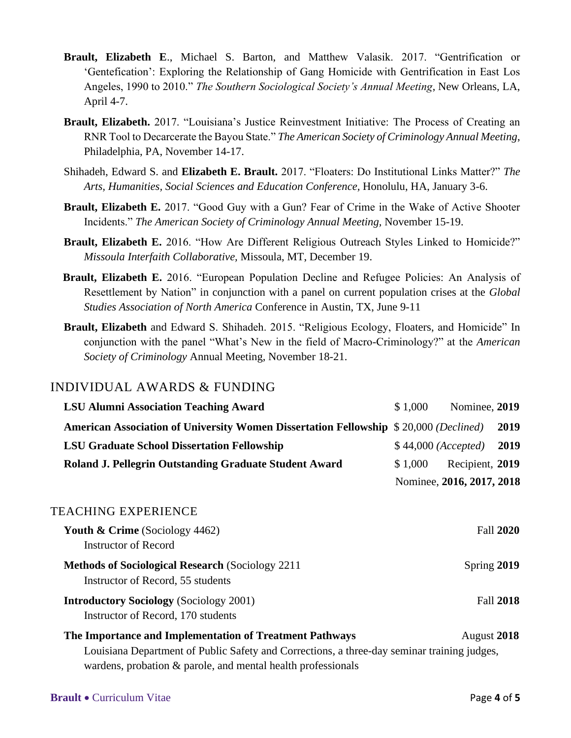- **Brault, Elizabeth E**., Michael S. Barton, and Matthew Valasik. 2017. "Gentrification or 'Gentefication': Exploring the Relationship of Gang Homicide with Gentrification in East Los Angeles, 1990 to 2010." *The Southern Sociological Society's Annual Meeting*, New Orleans, LA, April 4-7.
- **Brault, Elizabeth.** 2017. "Louisiana's Justice Reinvestment Initiative: The Process of Creating an RNR Tool to Decarcerate the Bayou State." *The American Society of Criminology Annual Meeting*, Philadelphia, PA, November 14-17.
- Shihadeh, Edward S. and **Elizabeth E. Brault.** 2017. "Floaters: Do Institutional Links Matter?" *The Arts, Humanities, Social Sciences and Education Conference,* Honolulu, HA, January 3-6.
- **Brault, Elizabeth E.** 2017. "Good Guy with a Gun? Fear of Crime in the Wake of Active Shooter Incidents." *The American Society of Criminology Annual Meeting,* November 15-19.
- **Brault, Elizabeth E.** 2016. "How Are Different Religious Outreach Styles Linked to Homicide?" *Missoula Interfaith Collaborative,* Missoula, MT, December 19.
- **Brault, Elizabeth E.** 2016. "European Population Decline and Refugee Policies: An Analysis of Resettlement by Nation" in conjunction with a panel on current population crises at the *Global Studies Association of North America* Conference in Austin, TX, June 9-11
- **Brault, Elizabeth** and Edward S. Shihadeh. 2015. "Religious Ecology, Floaters, and Homicide" In conjunction with the panel "What's New in the field of Macro-Criminology?" at the *American Society of Criminology* Annual Meeting, November 18-21.

## INDIVIDUAL AWARDS & FUNDING

| <b>LSU Alumni Association Teaching Award</b>                                                                                                                                                                           | \$1,000 | Nominee, 2019             |                  |
|------------------------------------------------------------------------------------------------------------------------------------------------------------------------------------------------------------------------|---------|---------------------------|------------------|
| American Association of University Women Dissertation Fellowship \$20,000 (Declined)                                                                                                                                   |         |                           | 2019             |
| <b>LSU Graduate School Dissertation Fellowship</b>                                                                                                                                                                     |         | \$44,000 (Accepted)       | 2019             |
| Roland J. Pellegrin Outstanding Graduate Student Award                                                                                                                                                                 | \$1,000 | Recipient, 2019           |                  |
|                                                                                                                                                                                                                        |         | Nominee, 2016, 2017, 2018 |                  |
| TEACHING EXPERIENCE                                                                                                                                                                                                    |         |                           |                  |
| <b>Youth &amp; Crime</b> (Sociology 4462)<br><b>Instructor of Record</b>                                                                                                                                               |         |                           | Fall 2020        |
| <b>Methods of Sociological Research (Sociology 2211)</b><br>Instructor of Record, 55 students                                                                                                                          |         | Spring 2019               |                  |
| <b>Introductory Sociology</b> (Sociology 2001)<br>Instructor of Record, 170 students                                                                                                                                   |         |                           | <b>Fall 2018</b> |
| The Importance and Implementation of Treatment Pathways<br>Louisiana Department of Public Safety and Corrections, a three-day seminar training judges,<br>wardens, probation & parole, and mental health professionals |         | August 2018               |                  |